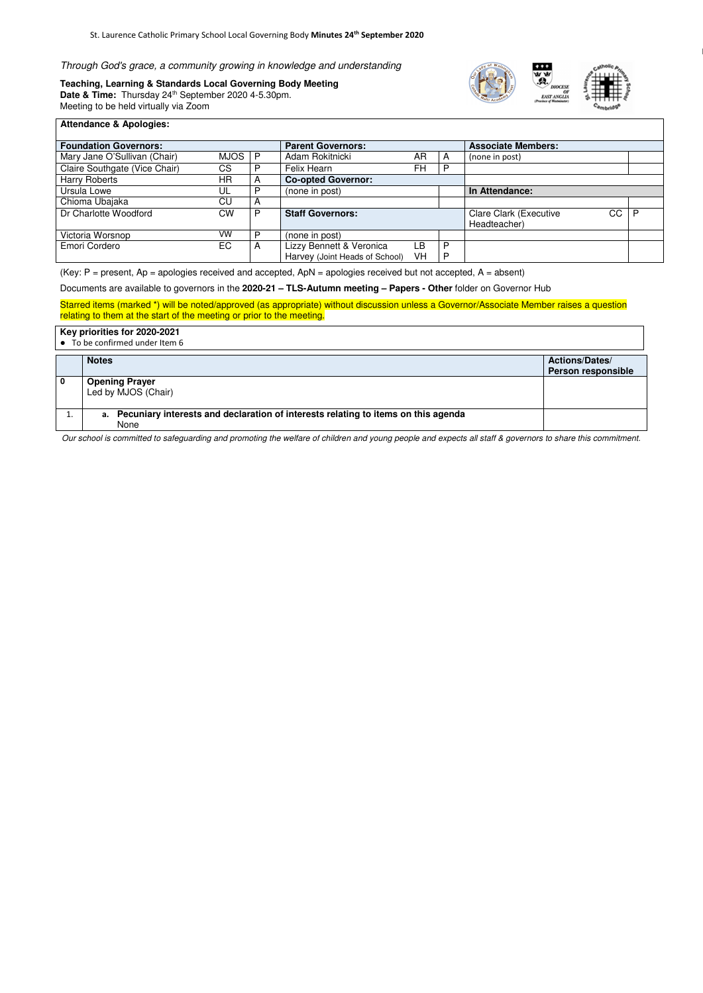Through God's grace, a community growing in knowledge and understanding<br>Paching Jearning 8 Standards Local Governing Body Meeting

**Teaching, Learning & Standards Local Governing Body Meeting**  Date & Time: Thursday 24<sup>th</sup> September 2020 4-5.30pm. Meeting to be held virtually via Zoom





## **Attendance & Apologies:**

| <b>Foundation Governors:</b>  |      |   | <b>Parent Governors:</b>       |           | <b>Associate Members:</b> |                                     |   |
|-------------------------------|------|---|--------------------------------|-----------|---------------------------|-------------------------------------|---|
| Mary Jane O'Sullivan (Chair)  | MJOS | P | Adam Rokitnicki                | <b>AR</b> | A                         | (none in post)                      |   |
| Claire Southgate (Vice Chair) | CS   |   | Felix Hearn                    | <b>FH</b> | P                         |                                     |   |
| <b>Harry Roberts</b>          | ΗR   |   | <b>Co-opted Governor:</b>      |           |                           |                                     |   |
| Ursula Lowe                   | UL   |   | (none in post)                 |           |                           | In Attendance:                      |   |
| Chioma Ubajaka                | CU   |   |                                |           |                           |                                     |   |
| Dr Charlotte Woodford         | CW   |   | <b>Staff Governors:</b>        |           |                           | CC<br><b>Clare Clark (Executive</b> | D |
|                               |      |   |                                |           |                           | Headteacher)                        |   |
| Victoria Worsnop              | VW   | D | (none in post)                 |           |                           |                                     |   |
| Emori Cordero                 | EC   | Α | Lizzy Bennett & Veronica       | ∟B⊹       | P                         |                                     |   |
|                               |      |   | Harvey (Joint Heads of School) | VH        | P                         |                                     |   |

(Key:  $P =$  present,  $Ap =$  apologies received and accepted,  $ApN =$  apologies received but not accepted,  $A =$  absent)

Documents are available to governors in the **2020-21 – TLS-Autumn meeting – Papers - Other** folder on Governor Hub

Starred items (marked \*) will be noted/approved (as appropriate) without discussion unless a Governor/Associate Member raises a question relating to them at the start of the meeting or prior to the meeting.

## **Key priorities for 2020-2021**

● To be confirmed under Item 6

| TU NU UUTIITIITUU MITUUT TUUTII U                                                            |                                                    |  |
|----------------------------------------------------------------------------------------------|----------------------------------------------------|--|
| <b>Notes</b>                                                                                 | <b>Actions/Dates/</b><br><b>Person responsible</b> |  |
| <b>Opening Prayer</b><br>Led by MJOS (Chair)                                                 |                                                    |  |
| a. Pecuniary interests and declaration of interests relating to items on this agenda<br>None |                                                    |  |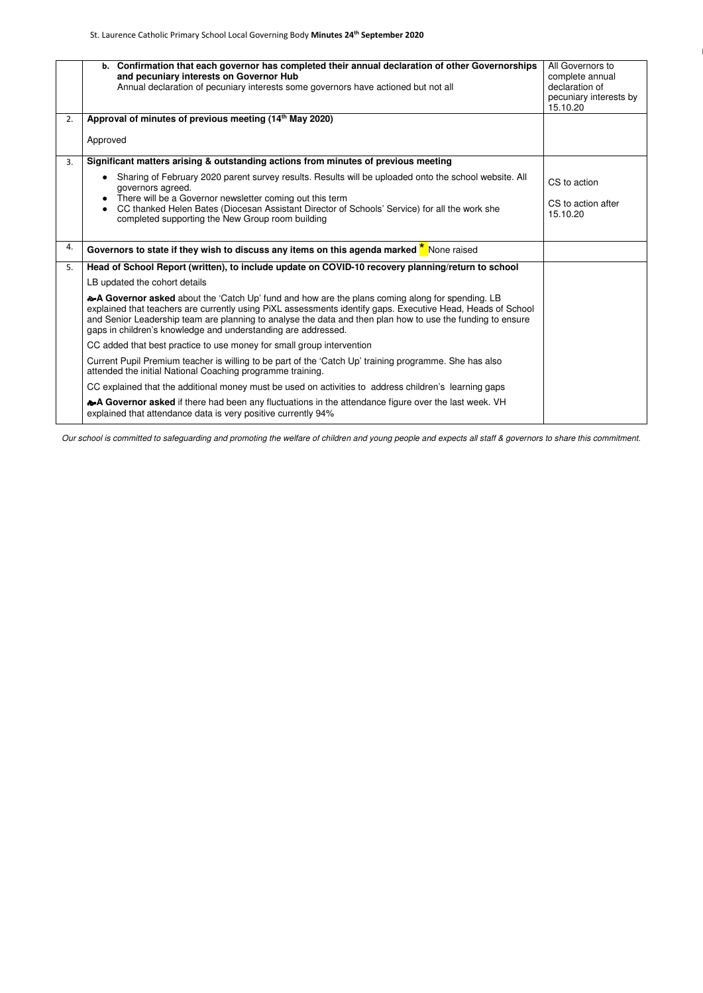|    | b. Confirmation that each governor has completed their annual declaration of other Governorships                                                                                                                                                                                                                                                                                              | All Governors to                   |
|----|-----------------------------------------------------------------------------------------------------------------------------------------------------------------------------------------------------------------------------------------------------------------------------------------------------------------------------------------------------------------------------------------------|------------------------------------|
|    | and pecuniary interests on Governor Hub                                                                                                                                                                                                                                                                                                                                                       | complete annual                    |
|    | Annual declaration of pecuniary interests some governors have actioned but not all                                                                                                                                                                                                                                                                                                            | declaration of                     |
|    |                                                                                                                                                                                                                                                                                                                                                                                               | pecuniary interests by<br>15.10.20 |
| 2. | Approval of minutes of previous meeting (14th May 2020)                                                                                                                                                                                                                                                                                                                                       |                                    |
|    |                                                                                                                                                                                                                                                                                                                                                                                               |                                    |
|    | Approved                                                                                                                                                                                                                                                                                                                                                                                      |                                    |
| 3. | Significant matters arising & outstanding actions from minutes of previous meeting                                                                                                                                                                                                                                                                                                            |                                    |
|    | Sharing of February 2020 parent survey results. Results will be uploaded onto the school website. All<br>governors agreed.                                                                                                                                                                                                                                                                    | CS to action                       |
|    | There will be a Governor newsletter coming out this term                                                                                                                                                                                                                                                                                                                                      |                                    |
|    | CC thanked Helen Bates (Diocesan Assistant Director of Schools' Service) for all the work she<br>completed supporting the New Group room building                                                                                                                                                                                                                                             | CS to action after<br>15.10.20     |
| 4. | Governors to state if they wish to discuss any items on this agenda marked $\frac{\pi}{6}$ None raised                                                                                                                                                                                                                                                                                        |                                    |
| 5. | Head of School Report (written), to include update on COVID-10 recovery planning/return to school                                                                                                                                                                                                                                                                                             |                                    |
|    | LB updated the cohort details                                                                                                                                                                                                                                                                                                                                                                 |                                    |
|    | �A Governor asked about the 'Catch Up' fund and how are the plans coming along for spending. LB<br>explained that teachers are currently using PiXL assessments identify gaps. Executive Head, Heads of School<br>and Senior Leadership team are planning to analyse the data and then plan how to use the funding to ensure<br>gaps in children's knowledge and understanding are addressed. |                                    |
|    | CC added that best practice to use money for small group intervention                                                                                                                                                                                                                                                                                                                         |                                    |
|    | Current Pupil Premium teacher is willing to be part of the 'Catch Up' training programme. She has also<br>attended the initial National Coaching programme training.                                                                                                                                                                                                                          |                                    |
|    | CC explained that the additional money must be used on activities to address children's learning gaps                                                                                                                                                                                                                                                                                         |                                    |
|    | A Governor asked if there had been any fluctuations in the attendance figure over the last week. VH<br>explained that attendance data is very positive currently 94%                                                                                                                                                                                                                          |                                    |
|    |                                                                                                                                                                                                                                                                                                                                                                                               |                                    |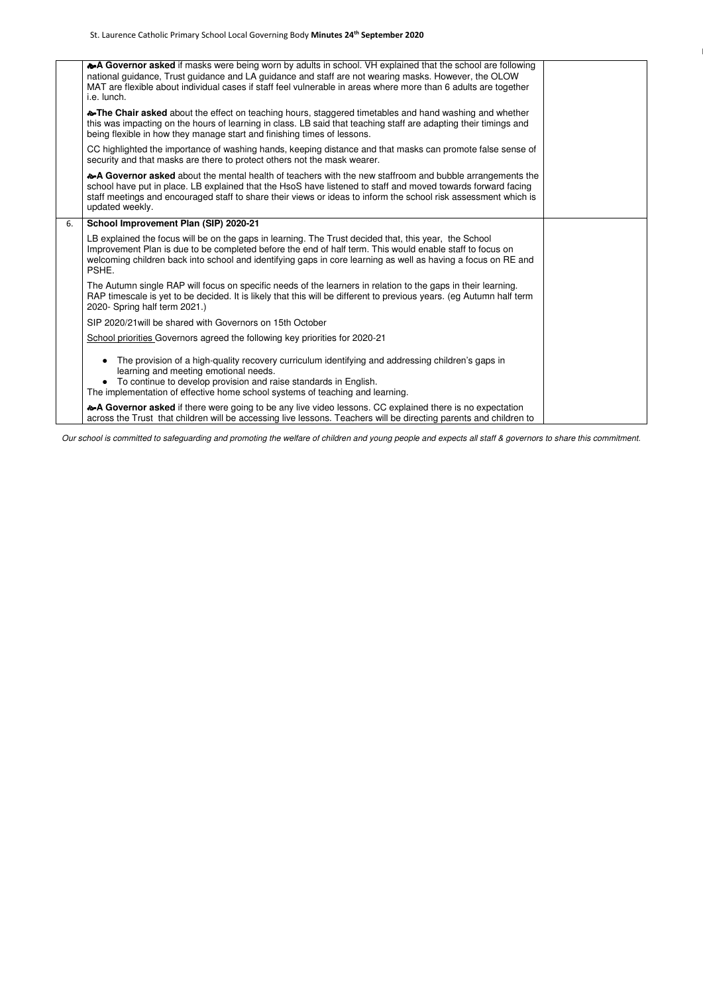|    | �A Governor asked if masks were being worn by adults in school. VH explained that the school are following<br>national guidance, Trust guidance and LA guidance and staff are not wearing masks. However, the OLOW<br>MAT are flexible about individual cases if staff feel vulnerable in areas where more than 6 adults are together<br>i.e. lunch.           |  |
|----|----------------------------------------------------------------------------------------------------------------------------------------------------------------------------------------------------------------------------------------------------------------------------------------------------------------------------------------------------------------|--|
|    | The Chair asked about the effect on teaching hours, staggered timetables and hand washing and whether<br>this was impacting on the hours of learning in class. LB said that teaching staff are adapting their timings and<br>being flexible in how they manage start and finishing times of lessons.                                                           |  |
|    | CC highlighted the importance of washing hands, keeping distance and that masks can promote false sense of<br>security and that masks are there to protect others not the mask wearer.                                                                                                                                                                         |  |
|    | �A Governor asked about the mental health of teachers with the new staffroom and bubble arrangements the<br>school have put in place. LB explained that the HsoS have listened to staff and moved towards forward facing<br>staff meetings and encouraged staff to share their views or ideas to inform the school risk assessment which is<br>updated weekly. |  |
| 6. | School Improvement Plan (SIP) 2020-21                                                                                                                                                                                                                                                                                                                          |  |
|    | LB explained the focus will be on the gaps in learning. The Trust decided that, this year, the School<br>Improvement Plan is due to be completed before the end of half term. This would enable staff to focus on<br>welcoming children back into school and identifying gaps in core learning as well as having a focus on RE and<br>PSHE.                    |  |
|    | The Autumn single RAP will focus on specific needs of the learners in relation to the gaps in their learning.<br>RAP timescale is yet to be decided. It is likely that this will be different to previous years. (eg Autumn half term<br>2020- Spring half term 2021.)                                                                                         |  |
|    | SIP 2020/21 will be shared with Governors on 15th October                                                                                                                                                                                                                                                                                                      |  |
|    | School priorities Governors agreed the following key priorities for 2020-21                                                                                                                                                                                                                                                                                    |  |
|    | The provision of a high-quality recovery curriculum identifying and addressing children's gaps in<br>learning and meeting emotional needs.<br>• To continue to develop provision and raise standards in English.<br>The implementation of effective home school systems of teaching and learning.                                                              |  |
|    | �A Governor asked if there were going to be any live video lessons. CC explained there is no expectation<br>across the Trust that children will be accessing live lessons. Teachers will be directing parents and children to                                                                                                                                  |  |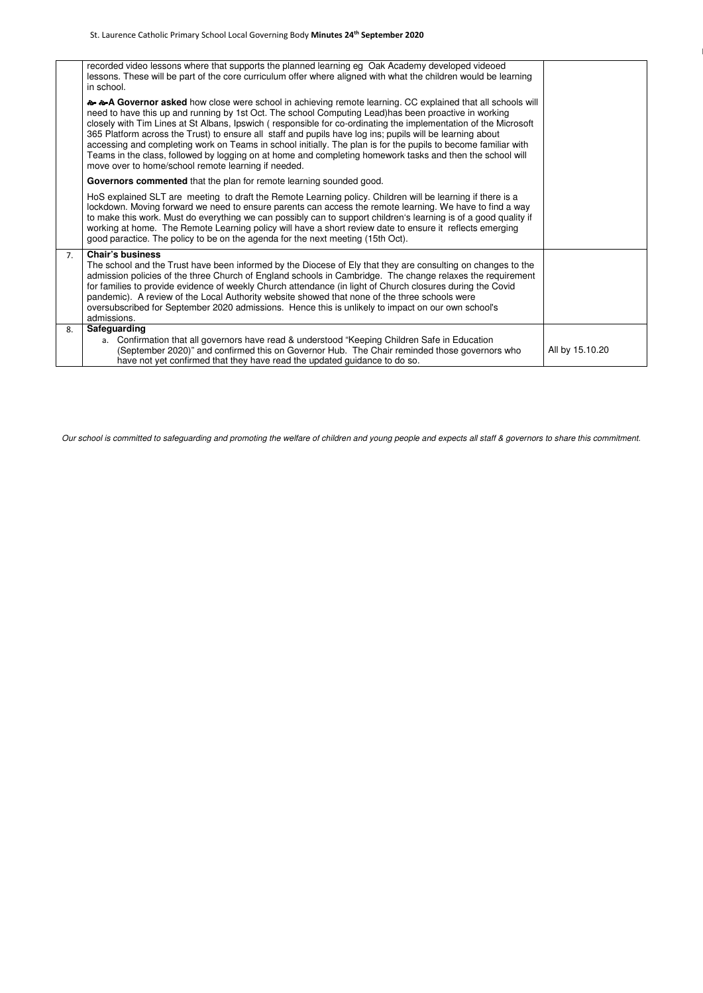|    | recorded video lessons where that supports the planned learning eg Oak Academy developed videoed<br>lessons. These will be part of the core curriculum offer where aligned with what the children would be learning<br>in school.                                                                                                                                                                                                                                                                                                                                                                                                                                                                                                       |                 |  |
|----|-----------------------------------------------------------------------------------------------------------------------------------------------------------------------------------------------------------------------------------------------------------------------------------------------------------------------------------------------------------------------------------------------------------------------------------------------------------------------------------------------------------------------------------------------------------------------------------------------------------------------------------------------------------------------------------------------------------------------------------------|-----------------|--|
|    | a a Governor asked how close were school in achieving remote learning. CC explained that all schools will<br>need to have this up and running by 1st Oct. The school Computing Lead)has been proactive in working<br>closely with Tim Lines at St Albans, Ipswich (responsible for co-ordinating the implementation of the Microsoft<br>365 Platform across the Trust) to ensure all staff and pupils have log ins; pupils will be learning about<br>accessing and completing work on Teams in school initially. The plan is for the pupils to become familiar with<br>Teams in the class, followed by logging on at home and completing homework tasks and then the school will<br>move over to home/school remote learning if needed. |                 |  |
|    | Governors commented that the plan for remote learning sounded good.                                                                                                                                                                                                                                                                                                                                                                                                                                                                                                                                                                                                                                                                     |                 |  |
|    | HoS explained SLT are meeting to draft the Remote Learning policy. Children will be learning if there is a<br>lockdown. Moving forward we need to ensure parents can access the remote learning. We have to find a way<br>to make this work. Must do everything we can possibly can to support children's learning is of a good quality if<br>working at home. The Remote Learning policy will have a short review date to ensure it reflects emerging<br>good paractice. The policy to be on the agenda for the next meeting (15th Oct).                                                                                                                                                                                               |                 |  |
| 7. | <b>Chair's business</b><br>The school and the Trust have been informed by the Diocese of Ely that they are consulting on changes to the<br>admission policies of the three Church of England schools in Cambridge. The change relaxes the requirement<br>for families to provide evidence of weekly Church attendance (in light of Church closures during the Covid<br>pandemic). A review of the Local Authority website showed that none of the three schools were<br>oversubscribed for September 2020 admissions. Hence this is unlikely to impact on our own school's<br>admissions.                                                                                                                                               |                 |  |
| 8. | Safeguarding<br>a. Confirmation that all governors have read & understood "Keeping Children Safe in Education<br>(September 2020)" and confirmed this on Governor Hub. The Chair reminded those governors who<br>have not yet confirmed that they have read the updated guidance to do so.                                                                                                                                                                                                                                                                                                                                                                                                                                              | All by 15.10.20 |  |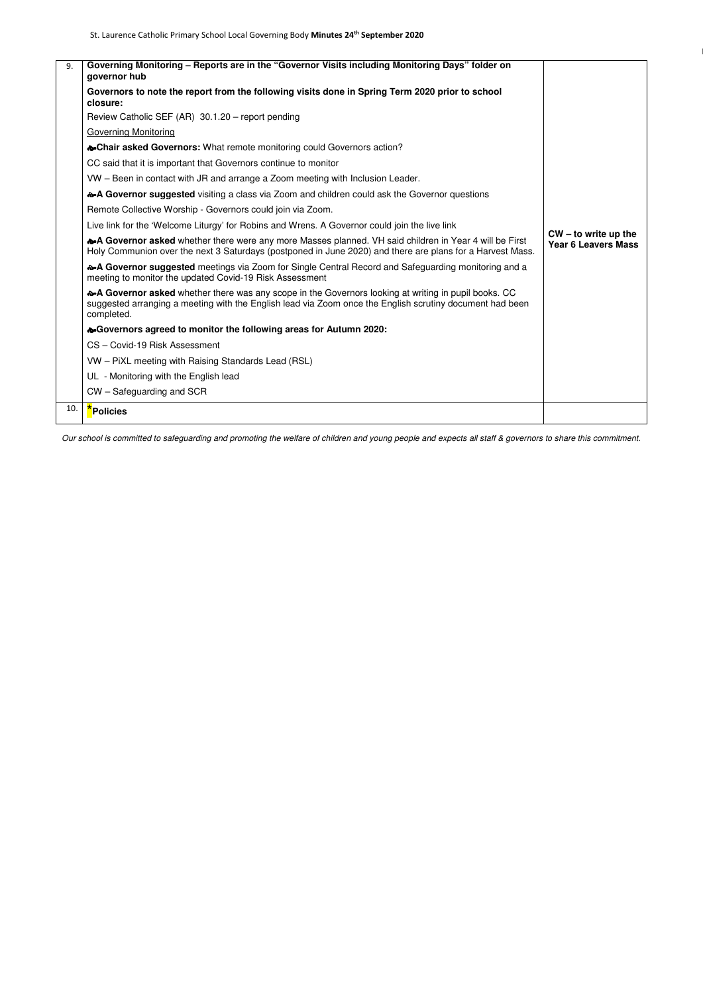| 9.  | Governing Monitoring - Reports are in the "Governor Visits including Monitoring Days" folder on<br>governor hub                                                                                                                |                                                      |
|-----|--------------------------------------------------------------------------------------------------------------------------------------------------------------------------------------------------------------------------------|------------------------------------------------------|
|     | Governors to note the report from the following visits done in Spring Term 2020 prior to school<br>closure:                                                                                                                    |                                                      |
|     | Review Catholic SEF (AR) 30.1.20 - report pending                                                                                                                                                                              |                                                      |
|     | <b>Governing Monitoring</b>                                                                                                                                                                                                    |                                                      |
|     | <b><math>\sim</math>Chair asked Governors:</b> What remote monitoring could Governors action?                                                                                                                                  |                                                      |
|     | CC said that it is important that Governors continue to monitor                                                                                                                                                                |                                                      |
|     | VW - Been in contact with JR and arrange a Zoom meeting with Inclusion Leader.                                                                                                                                                 |                                                      |
|     | �A Governor suggested visiting a class via Zoom and children could ask the Governor questions                                                                                                                                  |                                                      |
|     | Remote Collective Worship - Governors could join via Zoom.                                                                                                                                                                     |                                                      |
|     | Live link for the 'Welcome Liturgy' for Robins and Wrens. A Governor could join the live link                                                                                                                                  |                                                      |
|     | �A Governor asked whether there were any more Masses planned. VH said children in Year 4 will be First<br>Holy Communion over the next 3 Saturdays (postponed in June 2020) and there are plans for a Harvest Mass.            | $CW - to write up the$<br><b>Year 6 Leavers Mass</b> |
|     | • A Governor suggested meetings via Zoom for Single Central Record and Safeguarding monitoring and a<br>meeting to monitor the updated Covid-19 Risk Assessment                                                                |                                                      |
|     | �A Governor asked whether there was any scope in the Governors looking at writing in pupil books. CC<br>suggested arranging a meeting with the English lead via Zoom once the English scrutiny document had been<br>completed. |                                                      |
|     | <b>&amp; Governors agreed to monitor the following areas for Autumn 2020:</b>                                                                                                                                                  |                                                      |
|     | CS - Covid-19 Risk Assessment                                                                                                                                                                                                  |                                                      |
|     | VW - PiXL meeting with Raising Standards Lead (RSL)                                                                                                                                                                            |                                                      |
|     | UL - Monitoring with the English lead                                                                                                                                                                                          |                                                      |
|     | CW - Safeguarding and SCR                                                                                                                                                                                                      |                                                      |
| 10. | *Policies                                                                                                                                                                                                                      |                                                      |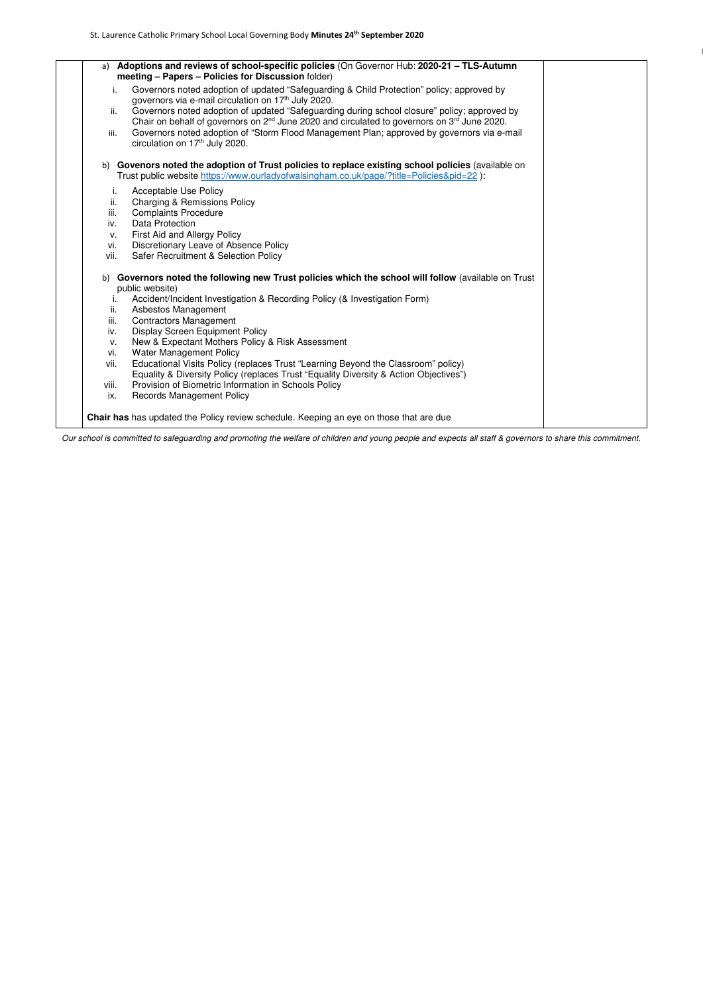| a) Adoptions and reviews of school-specific policies (On Governor Hub: 2020-21 - TLS-Autumn<br>meeting - Papers - Policies for Discussion folder)<br>Governors noted adoption of updated "Safeguarding & Child Protection" policy; approved by<br>i.<br>governors via e-mail circulation on 17 <sup>th</sup> July 2020.<br>Governors noted adoption of updated "Safeguarding during school closure" policy; approved by<br>ii.<br>Chair on behalf of governors on 2 <sup>nd</sup> June 2020 and circulated to governors on 3 <sup>rd</sup> June 2020.<br>Governors noted adoption of "Storm Flood Management Plan; approved by governors via e-mail<br>iii.<br>circulation on 17th July 2020.<br>b) Govenors noted the adoption of Trust policies to replace existing school policies (available on<br>Trust public website https://www.ourladyofwalsingham.co.uk/page/?title=Policies&pid=22):<br><b>Acceptable Use Policy</b><br>Ι.<br>ii.<br><b>Charging &amp; Remissions Policy</b><br>iii.<br><b>Complaints Procedure</b><br><b>Data Protection</b><br>iv.<br>First Aid and Allergy Policy<br>v.<br>Discretionary Leave of Absence Policy<br>vi.<br><b>Safer Recruitment &amp; Selection Policy</b><br>vii.<br>b) Governors noted the following new Trust policies which the school will follow (available on Trust<br>public website)<br>Accident/Incident Investigation & Recording Policy (& Investigation Form)<br>Ι.<br><b>Asbestos Management</b><br>ii.<br>iii.<br><b>Contractors Management</b><br><b>Display Screen Equipment Policy</b><br>iv.<br>New & Expectant Mothers Policy & Risk Assessment<br>V.<br><b>Water Management Policy</b><br>vi.<br>Educational Visits Policy (replaces Trust "Learning Beyond the Classroom" policy)<br>vii.<br>Equality & Diversity Policy (replaces Trust "Equality Diversity & Action Objectives")<br>Provision of Biometric Information in Schools Policy<br>viii.<br>ix.<br><b>Records Management Policy</b> |                                                                                        |  |
|--------------------------------------------------------------------------------------------------------------------------------------------------------------------------------------------------------------------------------------------------------------------------------------------------------------------------------------------------------------------------------------------------------------------------------------------------------------------------------------------------------------------------------------------------------------------------------------------------------------------------------------------------------------------------------------------------------------------------------------------------------------------------------------------------------------------------------------------------------------------------------------------------------------------------------------------------------------------------------------------------------------------------------------------------------------------------------------------------------------------------------------------------------------------------------------------------------------------------------------------------------------------------------------------------------------------------------------------------------------------------------------------------------------------------------------------------------------------------------------------------------------------------------------------------------------------------------------------------------------------------------------------------------------------------------------------------------------------------------------------------------------------------------------------------------------------------------------------------------------------------------------------------------------------------------------------------------------------|----------------------------------------------------------------------------------------|--|
|                                                                                                                                                                                                                                                                                                                                                                                                                                                                                                                                                                                                                                                                                                                                                                                                                                                                                                                                                                                                                                                                                                                                                                                                                                                                                                                                                                                                                                                                                                                                                                                                                                                                                                                                                                                                                                                                                                                                                                    |                                                                                        |  |
|                                                                                                                                                                                                                                                                                                                                                                                                                                                                                                                                                                                                                                                                                                                                                                                                                                                                                                                                                                                                                                                                                                                                                                                                                                                                                                                                                                                                                                                                                                                                                                                                                                                                                                                                                                                                                                                                                                                                                                    |                                                                                        |  |
|                                                                                                                                                                                                                                                                                                                                                                                                                                                                                                                                                                                                                                                                                                                                                                                                                                                                                                                                                                                                                                                                                                                                                                                                                                                                                                                                                                                                                                                                                                                                                                                                                                                                                                                                                                                                                                                                                                                                                                    |                                                                                        |  |
|                                                                                                                                                                                                                                                                                                                                                                                                                                                                                                                                                                                                                                                                                                                                                                                                                                                                                                                                                                                                                                                                                                                                                                                                                                                                                                                                                                                                                                                                                                                                                                                                                                                                                                                                                                                                                                                                                                                                                                    |                                                                                        |  |
|                                                                                                                                                                                                                                                                                                                                                                                                                                                                                                                                                                                                                                                                                                                                                                                                                                                                                                                                                                                                                                                                                                                                                                                                                                                                                                                                                                                                                                                                                                                                                                                                                                                                                                                                                                                                                                                                                                                                                                    |                                                                                        |  |
|                                                                                                                                                                                                                                                                                                                                                                                                                                                                                                                                                                                                                                                                                                                                                                                                                                                                                                                                                                                                                                                                                                                                                                                                                                                                                                                                                                                                                                                                                                                                                                                                                                                                                                                                                                                                                                                                                                                                                                    |                                                                                        |  |
|                                                                                                                                                                                                                                                                                                                                                                                                                                                                                                                                                                                                                                                                                                                                                                                                                                                                                                                                                                                                                                                                                                                                                                                                                                                                                                                                                                                                                                                                                                                                                                                                                                                                                                                                                                                                                                                                                                                                                                    |                                                                                        |  |
|                                                                                                                                                                                                                                                                                                                                                                                                                                                                                                                                                                                                                                                                                                                                                                                                                                                                                                                                                                                                                                                                                                                                                                                                                                                                                                                                                                                                                                                                                                                                                                                                                                                                                                                                                                                                                                                                                                                                                                    |                                                                                        |  |
|                                                                                                                                                                                                                                                                                                                                                                                                                                                                                                                                                                                                                                                                                                                                                                                                                                                                                                                                                                                                                                                                                                                                                                                                                                                                                                                                                                                                                                                                                                                                                                                                                                                                                                                                                                                                                                                                                                                                                                    |                                                                                        |  |
|                                                                                                                                                                                                                                                                                                                                                                                                                                                                                                                                                                                                                                                                                                                                                                                                                                                                                                                                                                                                                                                                                                                                                                                                                                                                                                                                                                                                                                                                                                                                                                                                                                                                                                                                                                                                                                                                                                                                                                    |                                                                                        |  |
|                                                                                                                                                                                                                                                                                                                                                                                                                                                                                                                                                                                                                                                                                                                                                                                                                                                                                                                                                                                                                                                                                                                                                                                                                                                                                                                                                                                                                                                                                                                                                                                                                                                                                                                                                                                                                                                                                                                                                                    |                                                                                        |  |
|                                                                                                                                                                                                                                                                                                                                                                                                                                                                                                                                                                                                                                                                                                                                                                                                                                                                                                                                                                                                                                                                                                                                                                                                                                                                                                                                                                                                                                                                                                                                                                                                                                                                                                                                                                                                                                                                                                                                                                    |                                                                                        |  |
|                                                                                                                                                                                                                                                                                                                                                                                                                                                                                                                                                                                                                                                                                                                                                                                                                                                                                                                                                                                                                                                                                                                                                                                                                                                                                                                                                                                                                                                                                                                                                                                                                                                                                                                                                                                                                                                                                                                                                                    |                                                                                        |  |
|                                                                                                                                                                                                                                                                                                                                                                                                                                                                                                                                                                                                                                                                                                                                                                                                                                                                                                                                                                                                                                                                                                                                                                                                                                                                                                                                                                                                                                                                                                                                                                                                                                                                                                                                                                                                                                                                                                                                                                    |                                                                                        |  |
|                                                                                                                                                                                                                                                                                                                                                                                                                                                                                                                                                                                                                                                                                                                                                                                                                                                                                                                                                                                                                                                                                                                                                                                                                                                                                                                                                                                                                                                                                                                                                                                                                                                                                                                                                                                                                                                                                                                                                                    |                                                                                        |  |
|                                                                                                                                                                                                                                                                                                                                                                                                                                                                                                                                                                                                                                                                                                                                                                                                                                                                                                                                                                                                                                                                                                                                                                                                                                                                                                                                                                                                                                                                                                                                                                                                                                                                                                                                                                                                                                                                                                                                                                    |                                                                                        |  |
|                                                                                                                                                                                                                                                                                                                                                                                                                                                                                                                                                                                                                                                                                                                                                                                                                                                                                                                                                                                                                                                                                                                                                                                                                                                                                                                                                                                                                                                                                                                                                                                                                                                                                                                                                                                                                                                                                                                                                                    |                                                                                        |  |
|                                                                                                                                                                                                                                                                                                                                                                                                                                                                                                                                                                                                                                                                                                                                                                                                                                                                                                                                                                                                                                                                                                                                                                                                                                                                                                                                                                                                                                                                                                                                                                                                                                                                                                                                                                                                                                                                                                                                                                    |                                                                                        |  |
|                                                                                                                                                                                                                                                                                                                                                                                                                                                                                                                                                                                                                                                                                                                                                                                                                                                                                                                                                                                                                                                                                                                                                                                                                                                                                                                                                                                                                                                                                                                                                                                                                                                                                                                                                                                                                                                                                                                                                                    |                                                                                        |  |
|                                                                                                                                                                                                                                                                                                                                                                                                                                                                                                                                                                                                                                                                                                                                                                                                                                                                                                                                                                                                                                                                                                                                                                                                                                                                                                                                                                                                                                                                                                                                                                                                                                                                                                                                                                                                                                                                                                                                                                    |                                                                                        |  |
|                                                                                                                                                                                                                                                                                                                                                                                                                                                                                                                                                                                                                                                                                                                                                                                                                                                                                                                                                                                                                                                                                                                                                                                                                                                                                                                                                                                                                                                                                                                                                                                                                                                                                                                                                                                                                                                                                                                                                                    |                                                                                        |  |
|                                                                                                                                                                                                                                                                                                                                                                                                                                                                                                                                                                                                                                                                                                                                                                                                                                                                                                                                                                                                                                                                                                                                                                                                                                                                                                                                                                                                                                                                                                                                                                                                                                                                                                                                                                                                                                                                                                                                                                    |                                                                                        |  |
|                                                                                                                                                                                                                                                                                                                                                                                                                                                                                                                                                                                                                                                                                                                                                                                                                                                                                                                                                                                                                                                                                                                                                                                                                                                                                                                                                                                                                                                                                                                                                                                                                                                                                                                                                                                                                                                                                                                                                                    |                                                                                        |  |
|                                                                                                                                                                                                                                                                                                                                                                                                                                                                                                                                                                                                                                                                                                                                                                                                                                                                                                                                                                                                                                                                                                                                                                                                                                                                                                                                                                                                                                                                                                                                                                                                                                                                                                                                                                                                                                                                                                                                                                    |                                                                                        |  |
|                                                                                                                                                                                                                                                                                                                                                                                                                                                                                                                                                                                                                                                                                                                                                                                                                                                                                                                                                                                                                                                                                                                                                                                                                                                                                                                                                                                                                                                                                                                                                                                                                                                                                                                                                                                                                                                                                                                                                                    |                                                                                        |  |
|                                                                                                                                                                                                                                                                                                                                                                                                                                                                                                                                                                                                                                                                                                                                                                                                                                                                                                                                                                                                                                                                                                                                                                                                                                                                                                                                                                                                                                                                                                                                                                                                                                                                                                                                                                                                                                                                                                                                                                    |                                                                                        |  |
|                                                                                                                                                                                                                                                                                                                                                                                                                                                                                                                                                                                                                                                                                                                                                                                                                                                                                                                                                                                                                                                                                                                                                                                                                                                                                                                                                                                                                                                                                                                                                                                                                                                                                                                                                                                                                                                                                                                                                                    |                                                                                        |  |
|                                                                                                                                                                                                                                                                                                                                                                                                                                                                                                                                                                                                                                                                                                                                                                                                                                                                                                                                                                                                                                                                                                                                                                                                                                                                                                                                                                                                                                                                                                                                                                                                                                                                                                                                                                                                                                                                                                                                                                    | Chair has has updated the Policy review schedule. Keeping an eye on those that are due |  |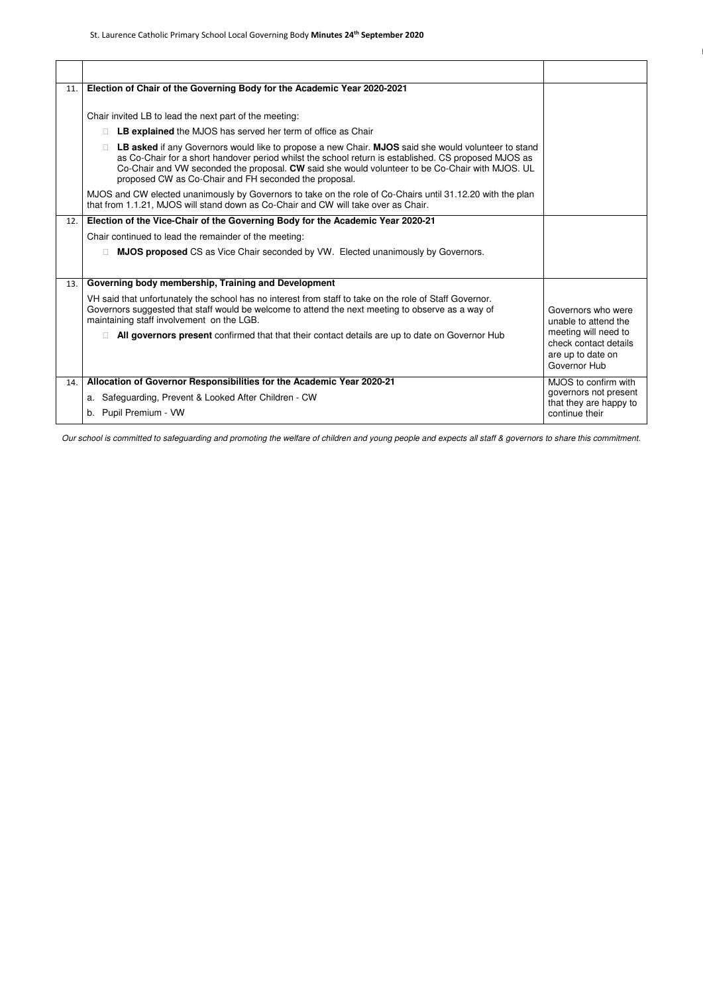| 11. | Election of Chair of the Governing Body for the Academic Year 2020-2021                                                                                                                                                                                                                                                                                                 |                                                                                    |
|-----|-------------------------------------------------------------------------------------------------------------------------------------------------------------------------------------------------------------------------------------------------------------------------------------------------------------------------------------------------------------------------|------------------------------------------------------------------------------------|
|     | Chair invited LB to lead the next part of the meeting:                                                                                                                                                                                                                                                                                                                  |                                                                                    |
|     | LB explained the MJOS has served her term of office as Chair                                                                                                                                                                                                                                                                                                            |                                                                                    |
|     | LB asked if any Governors would like to propose a new Chair. MJOS said she would volunteer to stand<br>as Co-Chair for a short handover period whilst the school return is established. CS proposed MJOS as<br>Co-Chair and VW seconded the proposal. CW said she would volunteer to be Co-Chair with MJOS. UL<br>proposed CW as Co-Chair and FH seconded the proposal. |                                                                                    |
|     | MJOS and CW elected unanimously by Governors to take on the role of Co-Chairs until 31.12.20 with the plan<br>that from 1.1.21, MJOS will stand down as Co-Chair and CW will take over as Chair.                                                                                                                                                                        |                                                                                    |
| 12. | Election of the Vice-Chair of the Governing Body for the Academic Year 2020-21                                                                                                                                                                                                                                                                                          |                                                                                    |
|     | Chair continued to lead the remainder of the meeting:                                                                                                                                                                                                                                                                                                                   |                                                                                    |
|     | <b>MJOS proposed</b> CS as Vice Chair seconded by VW. Elected unanimously by Governors.                                                                                                                                                                                                                                                                                 |                                                                                    |
|     |                                                                                                                                                                                                                                                                                                                                                                         |                                                                                    |
| 13. | Governing body membership, Training and Development                                                                                                                                                                                                                                                                                                                     |                                                                                    |
|     | VH said that unfortunately the school has no interest from staff to take on the role of Staff Governor.<br>Governors suggested that staff would be welcome to attend the next meeting to observe as a way of<br>maintaining staff involvement on the LGB.                                                                                                               | Governors who were<br>unable to attend the                                         |
|     | All governors present confirmed that that their contact details are up to date on Governor Hub                                                                                                                                                                                                                                                                          | meeting will need to<br>check contact details<br>are up to date on<br>Governor Hub |
| 14. | Allocation of Governor Responsibilities for the Academic Year 2020-21                                                                                                                                                                                                                                                                                                   | MJOS to confirm with                                                               |
|     | a. Safeguarding, Prevent & Looked After Children - CW                                                                                                                                                                                                                                                                                                                   | governors not present<br>that they are happy to                                    |
|     | b. Pupil Premium - VW                                                                                                                                                                                                                                                                                                                                                   | continue their                                                                     |
|     |                                                                                                                                                                                                                                                                                                                                                                         |                                                                                    |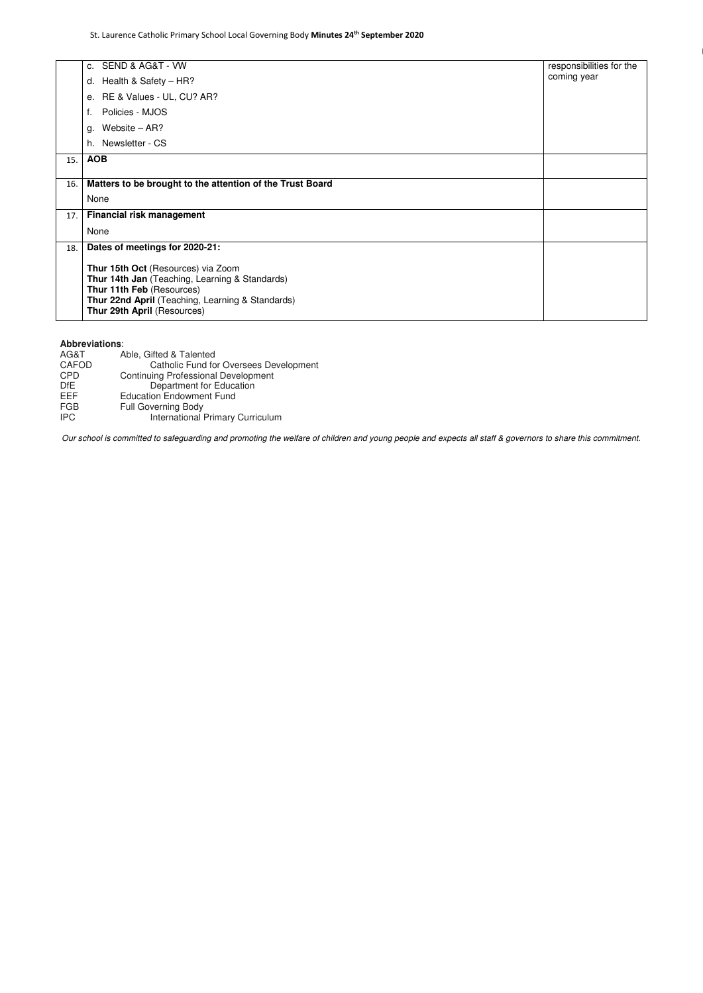|     | c. SEND & AG&T - VW                                       | responsibilities for the |  |
|-----|-----------------------------------------------------------|--------------------------|--|
|     | d. Health & Safety $-$ HR?                                | coming year              |  |
|     | e. RE & Values - UL, CU? AR?                              |                          |  |
|     | Policies - MJOS                                           |                          |  |
|     | Website $-$ AR?<br>g.                                     |                          |  |
|     | h. Newsletter - CS                                        |                          |  |
| 15. | <b>AOB</b>                                                |                          |  |
|     |                                                           |                          |  |
| 16. | Matters to be brought to the attention of the Trust Board |                          |  |
|     | None                                                      |                          |  |
| 17. | <b>Financial risk management</b>                          |                          |  |
|     | None                                                      |                          |  |
| 18. | Dates of meetings for 2020-21:                            |                          |  |
|     | Thur 15th Oct (Resources) via Zoom                        |                          |  |
|     | Thur 14th Jan (Teaching, Learning & Standards)            |                          |  |
|     | Thur 11th Feb (Resources)                                 |                          |  |
|     | Thur 22nd April (Teaching, Learning & Standards)          |                          |  |
|     | Thur 29th April (Resources)                               |                          |  |

## **Abbreviations**:

| AG&T         | Able, Gifted & Talented                       |
|--------------|-----------------------------------------------|
| <b>CAFOD</b> | <b>Catholic Fund for Oversees Development</b> |
| <b>CPD</b>   | <b>Continuing Professional Development</b>    |
| DfE.         | Department for Education                      |
| EEF          | <b>Education Endowment Fund</b>               |
| FGB          | <b>Full Governing Body</b>                    |
| <b>IPC</b>   | International Primary Curriculum              |